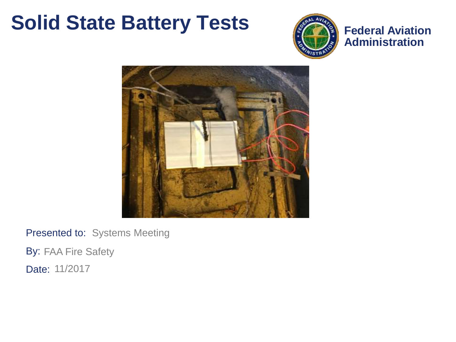### **Solid State Battery Tests**



**Federal Aviation Administration**



Presented to: Systems Meeting

By: FAA Fire Safety

Date: 11/2017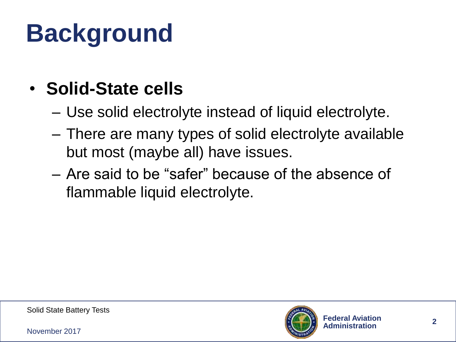# **Background**

### • **Solid-State cells**

- Use solid electrolyte instead of liquid electrolyte.
- There are many types of solid electrolyte available but most (maybe all) have issues.
- Are said to be "safer" because of the absence of flammable liquid electrolyte.

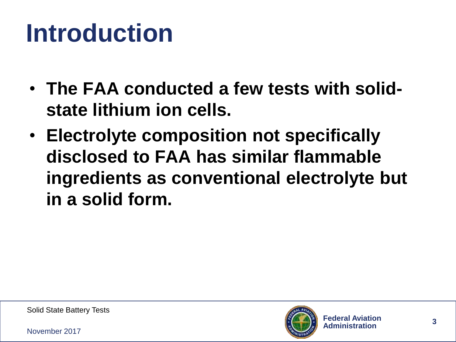# **Introduction**

- **The FAA conducted a few tests with solidstate lithium ion cells.**
- **Electrolyte composition not specifically disclosed to FAA has similar flammable ingredients as conventional electrolyte but in a solid form.**

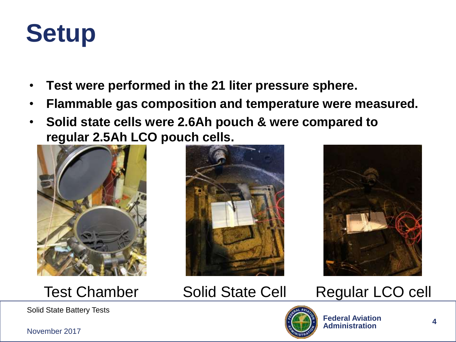

- **Test were performed in the 21 liter pressure sphere.**
- **Flammable gas composition and temperature were measured.**
- **Solid state cells were 2.6Ah pouch & were compared to regular 2.5Ah LCO pouch cells.**









### Test Chamber Solid State Cell Regular LCO cell



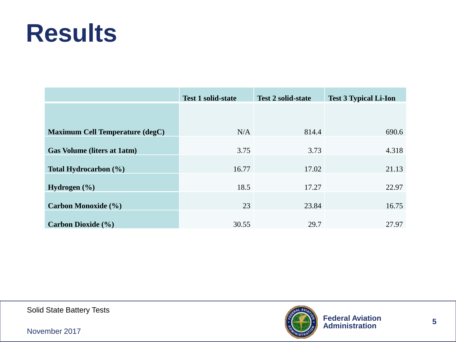

|                                        | <b>Test 1 solid-state</b> | <b>Test 2 solid-state</b> | <b>Test 3 Typical Li-Ion</b> |
|----------------------------------------|---------------------------|---------------------------|------------------------------|
|                                        |                           |                           |                              |
|                                        |                           |                           |                              |
| <b>Maximum Cell Temperature (degC)</b> | N/A                       | 814.4                     | 690.6                        |
|                                        |                           |                           |                              |
| <b>Gas Volume (liters at 1atm)</b>     | 3.75                      | 3.73                      | 4.318                        |
|                                        |                           |                           |                              |
| Total Hydrocarbon (%)                  | 16.77                     | 17.02                     | 21.13                        |
|                                        |                           |                           |                              |
| Hydrogen $(\% )$                       | 18.5                      | 17.27                     | 22.97                        |
|                                        |                           |                           |                              |
| Carbon Monoxide (%)                    | 23                        | 23.84                     | 16.75                        |
|                                        |                           |                           |                              |
| <b>Carbon Dioxide</b> (%)              | 30.55                     | 29.7                      | 27.97                        |

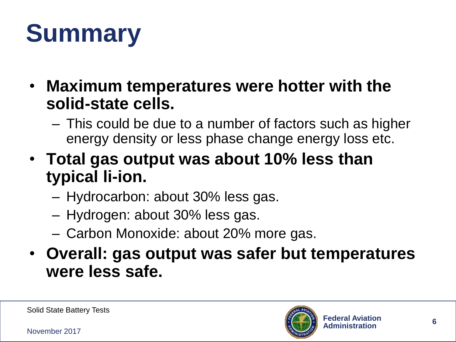# **Summary**

- **Maximum temperatures were hotter with the solid-state cells.**
	- This could be due to a number of factors such as higher energy density or less phase change energy loss etc.
- **Total gas output was about 10% less than typical li-ion.**
	- Hydrocarbon: about 30% less gas.
	- Hydrogen: about 30% less gas.
	- Carbon Monoxide: about 20% more gas.
- **Overall: gas output was safer but temperatures were less safe.**